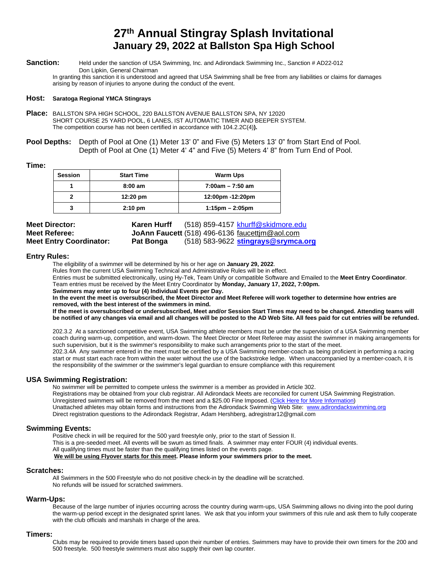# **27th Annual Stingray Splash Invitational January 29, 2022 at Ballston Spa High School**

**Sanction:** Held under the sanction of USA Swimming, Inc. and Adirondack Swimming Inc., Sanction # AD22-012 Don Lipkin, General Chairman

In granting this sanction it is understood and agreed that USA Swimming shall be free from any liabilities or claims for damages arising by reason of injuries to anyone during the conduct of the event.

#### **Host: Saratoga Regional YMCA Stingrays**

- **Place:** BALLSTON SPA HIGH SCHOOL, 220 BALLSTON AVENUE BALLSTON SPA, NY 12020 SHORT COURSE 25 YARD POOL, 6 LANES, IST AUTOMATIC TIMER AND BEEPER SYSTEM. The competition course has not been certified in accordance with 104.2.2C(4)**).**
- **Pool Depths:** Depth of Pool at One (1) Meter 13' 0" and Five (5) Meters 13' 0" from Start End of Pool. Depth of Pool at One (1) Meter 4' 4" and Five (5) Meters 4' 8" from Turn End of Pool.

#### **Time:**

| <b>Session</b> | <b>Start Time</b>  | <b>Warm Ups</b>      |
|----------------|--------------------|----------------------|
|                | $8:00 \text{ am}$  | 7:00am - 7:50 am     |
|                | $12:20 \text{ pm}$ | 12:00pm -12:20pm     |
| 3              | $2:10 \text{ pm}$  | $1:15$ pm $-2:05$ pm |

| <b>Meet Director:</b>          | Karen Hurff | $(518)$ 859-4157 khurff@skidmore.edu           |
|--------------------------------|-------------|------------------------------------------------|
| <b>Meet Referee:</b>           |             | JoAnn Faucett (518) 496-6136 faucettim@aol.com |
| <b>Meet Entry Coordinator:</b> | Pat Bonga   | $(518)$ 583-9622 stingrays@srymca.org          |

#### **Entry Rules:**

The eligibility of a swimmer will be determined by his or her age on **January 29, 2022**.

Rules from the current USA Swimming Technical and Administrative Rules will be in effect.

Entries must be submitted electronically, using Hy-Tek, Team Unify or compatible Software and Emailed to the **Meet Entry Coordinator**. Team entries must be received by the Meet Entry Coordinator by **Monday, January 17, 2022, 7:00pm.**

**Swimmers may enter up to four (4) Individual Events per Day.**

**In the event the meet is oversubscribed, the Meet Director and Meet Referee will work together to determine how entries are removed, with the best interest of the swimmers in mind.**

**If the meet is oversubscribed or undersubscribed, Meet and/or Session Start Times may need to be changed. Attending teams will be notified of any changes via email and all changes will be posted to the AD Web Site. All fees paid for cut entries will be refunded.**

202.3.2 At a sanctioned competitive event, USA Swimming athlete members must be under the supervision of a USA Swimming member coach during warm-up, competition, and warm-down. The Meet Director or Meet Referee may assist the swimmer in making arrangements for such supervision, but it is the swimmer's responsibility to make such arrangements prior to the start of the meet. 202.3.4A Any swimmer entered in the meet must be certified by a USA Swimming member-coach as being proficient in performing a racing start or must start each race from within the water without the use of the backstroke ledge. When unaccompanied by a member-coach, it is the responsibility of the swimmer or the swimmer's legal guardian to ensure compliance with this requirement

#### **USA Swimming Registration:**

No swimmer will be permitted to compete unless the swimmer is a member as provided in Article 302. Registrations may be obtained from your club registrar. All Adirondack Meets are reconciled for current USA Swimming Registration. Unregistered swimmers will be removed from the meet and a \$25.00 Fine Imposed. (Click Here for More Information) Unattached athletes may obtain forms and instructions from the Adirondack Swimming Web Site: [www.adirondackswimming.org](http://www.adirondackswimming.org/) Direct registration questions to the Adirondack Registrar, Adam Hershberg, adregistrar12@gmail.com

#### **Swimming Events:**

Positive check in will be required for the 500 yard freestyle only, prior to the start of Session II. This is a pre-seeded meet. All events will be swum as timed finals. A swimmer may enter FOUR (4) individual events. All qualifying times must be faster than the qualifying times listed on the events page.  **We will be using Flyover starts for this meet. Please inform your swimmers prior to the meet.**

#### **Scratches:**

All Swimmers in the 500 Freestyle who do not positive check-in by the deadline will be scratched. No refunds will be issued for scratched swimmers.

#### **Warm-Ups:**

Because of the large number of injuries occurring across the country during warm-ups, USA Swimming allows no diving into the pool during the warm-up period except in the designated sprint lanes. We ask that you inform your swimmers of this rule and ask them to fully cooperate with the club officials and marshals in charge of the area.

#### **Timers:**

Clubs may be required to provide timers based upon their number of entries. Swimmers may have to provide their own timers for the 200 and 500 freestyle. 500 freestyle swimmers must also supply their own lap counter.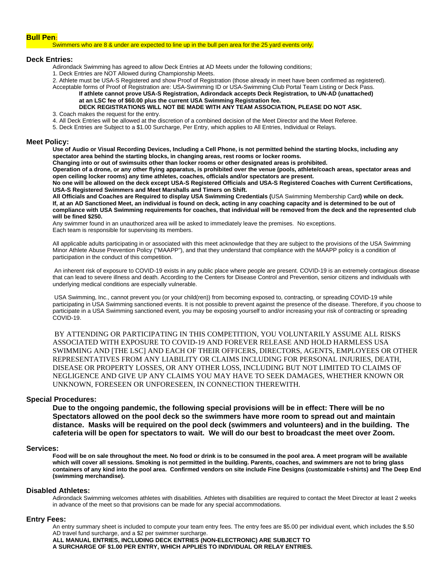#### **Bull Pen:**

Swimmers who are 8 & under are expected to line up in the bull pen area for the 25 yard events only.

#### **Deck Entries:**

Adirondack Swimming has agreed to allow Deck Entries at AD Meets under the following conditions;

1. Deck Entries are NOT Allowed during Championship Meets.

2. Athlete must be USA-S Registered and show Proof of Registration (those already in meet have been confirmed as registered).

#### Acceptable forms of Proof of Registration are: USA-Swimming ID or USA-Swimming Club Portal Team Listing or Deck Pass. **If athlete cannot prove USA-S Registration, Adirondack accepts Deck Registration***,* **to UN-AD (unattached) at an LSC fee of \$60.00 plus the current USA Swimming Registration fee.**

## **DECK REGISTRATIONS WILL NOT BE MADE WITH ANY TEAM ASSOCIATION, PLEASE DO NOT ASK.**

3. Coach makes the request for the entry.

4. All Deck Entries will be allowed at the discretion of a combined decision of the Meet Director and the Meet Referee.

5. Deck Entries are Subject to a \$1.00 Surcharge, Per Entry, which applies to All Entries, Individual or Relays.

#### **Meet Policy:**

**Use of Audio or Visual Recording Devices, Including a Cell Phone, is not permitted behind the starting blocks, including any spectator area behind the starting blocks, in changing areas, rest rooms or locker rooms.**

**Changing into or out of swimsuits other than locker rooms or other designated areas is prohibited.**

**Operation of a drone, or any other flying apparatus, is prohibited over the venue (pools, athlete/coach areas, spectator areas and open ceiling locker rooms) any time athletes, coaches, officials and/or spectators are present.**

**No one will be allowed on the deck except USA-S Registered Officials and USA-S Registered Coaches with Current Certifications, USA-S Registered Swimmers and Meet Marshalls and Timers on Shift.**

**All Officials and Coaches are Required to display USA Swimming Credentials (**USA Swimming Membership Card**) while on deck. If, at an AD Sanctioned Meet, an individual is found on deck, acting in any coaching capacity and is determined to be out of compliance with USA Swimming requirements for coaches, that individual will be removed from the deck and the represented club will be fined \$250.**

Any swimmer found in an unauthorized area will be asked to immediately leave the premises. No exceptions. Each team is responsible for supervising its members.

All applicable adults participating in or associated with this meet acknowledge that they are subject to the provisions of the USA Swimming Minor Athlete Abuse Prevention Policy ("MAAPP"), and that they understand that compliance with the MAAPP policy is a condition of participation in the conduct of this competition.

An inherent risk of exposure to COVID-19 exists in any public place where people are present. COVID-19 is an extremely contagious disease that can lead to severe illness and death. According to the Centers for Disease Control and Prevention, senior citizens and individuals with underlying medical conditions are especially vulnerable.

USA Swimming, Inc., cannot prevent you (or your child(ren)) from becoming exposed to, contracting, or spreading COVID-19 while participating in USA Swimming sanctioned events. It is not possible to prevent against the presence of the disease. Therefore, if you choose to participate in a USA Swimming sanctioned event, you may be exposing yourself to and/or increasing your risk of contracting or spreading COVID-19.

BY ATTENDING OR PARTICIPATING IN THIS COMPETITION, YOU VOLUNTARILY ASSUME ALL RISKS ASSOCIATED WITH EXPOSURE TO COVID-19 AND FOREVER RELEASE AND HOLD HARMLESS USA SWIMMING AND [THE LSC] AND EACH OF THEIR OFFICERS, DIRECTORS, AGENTS, EMPLOYEES OR OTHER REPRESENTATIVES FROM ANY LIABILITY OR CLAIMS INCLUDING FOR PERSONAL INJURIES, DEATH, DISEASE OR PROPERTY LOSSES, OR ANY OTHER LOSS, INCLUDING BUT NOT LIMITED TO CLAIMS OF NEGLIGENCE AND GIVE UP ANY CLAIMS YOU MAY HAVE TO SEEK DAMAGES, WHETHER KNOWN OR UNKNOWN, FORESEEN OR UNFORESEEN, IN CONNECTION THEREWITH.

#### **Special Procedures:**

**Due to the ongoing pandemic, the following special provisions will be in effect: There will be no Spectators allowed on the pool deck so the swimmers have more room to spread out and maintain distance. Masks will be required on the pool deck (swimmers and volunteers) and in the building. The cafeteria will be open for spectators to wait. We will do our best to broadcast the meet over Zoom.**

#### **Services:**

**Food will be on sale throughout the meet. No food or drink is to be consumed in the pool area. A meet program will be available which will cover all sessions. Smoking is not permitted in the building. Parents, coaches, and swimmers are not to bring glass containers of any kind into the pool area. Confirmed vendors on site include Fine Designs (customizable t-shirts) and The Deep End (swimming merchandise).**

#### **Disabled Athletes:**

Adirondack Swimming welcomes athletes with disabilities. Athletes with disabilities are required to contact the Meet Director at least 2 weeks in advance of the meet so that provisions can be made for any special accommodations.

#### **Entry Fees:**

An entry summary sheet is included to compute your team entry fees. The entry fees are \$5.00 per individual event, which includes the \$.50 AD travel fund surcharge, and a \$2 per swimmer surcharge.

**ALL MANUAL ENTRIES, INCLUDING DECK ENTRIES (NON-ELECTRONIC) ARE SUBJECT TO A SURCHARGE OF \$1.00 PER ENTRY, WHICH APPLIES TO INDIVIDUAL OR RELAY ENTRIES.**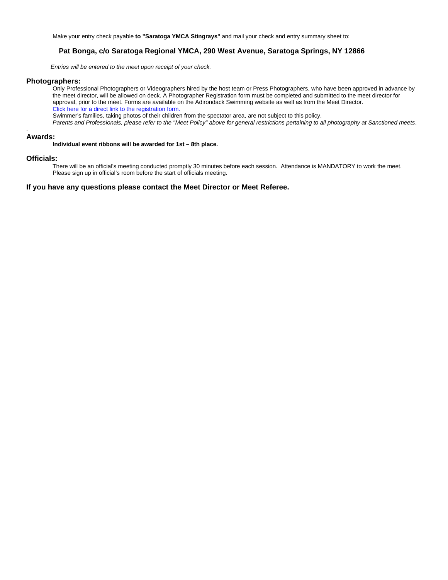Make your entry check payable **to "Saratoga YMCA Stingrays"** and mail your check and entry summary sheet to:

## **Pat Bonga, c/o Saratoga Regional YMCA, 290 West Avenue, Saratoga Springs, NY 12866**

 *Entries will be entered to the meet upon receipt of your check.*

#### **Photographers:**

Only Professional Photographers or Videographers hired by the host team or Press Photographers, who have been approved in advance by the meet director, will be allowed on deck. A Photographer Registration form must be completed and submitted to the meet director for approval, prior to the meet. Forms are available on the Adirondack Swimming website as well as from the Meet Director. Click here for a direct link to the registration form.

Swimmer's families, taking photos of their children from the spectator area, are not subject to this policy.

*Parents and Professionals, please refer to the "Meet Policy" above for general restrictions pertaining to all photography at Sanctioned meets*.

#### . **Awards:**

**Individual event ribbons will be awarded for 1st – 8th place.**

#### **Officials:**

There will be an official's meeting conducted promptly 30 minutes before each session. Attendance is MANDATORY to work the meet. Please sign up in official's room before the start of officials meeting.

#### **If you have any questions please contact the Meet Director or Meet Referee.**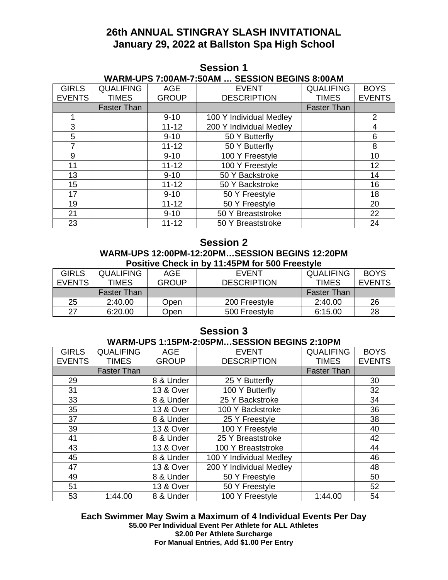# **26th ANNUAL STINGRAY SLASH INVITATIONAL January 29, 2022 at Ballston Spa High School**

| WARM-UPS 7:00AM-7:50AM  SESSION BEGINS 8:00AM |                    |              |                         |                    |               |
|-----------------------------------------------|--------------------|--------------|-------------------------|--------------------|---------------|
| <b>GIRLS</b>                                  | <b>QUALIFING</b>   | AGE          | <b>EVENT</b>            | <b>QUALIFING</b>   | <b>BOYS</b>   |
| <b>EVENTS</b>                                 | <b>TIMES</b>       | <b>GROUP</b> | <b>DESCRIPTION</b>      | <b>TIMES</b>       | <b>EVENTS</b> |
|                                               | <b>Faster Than</b> |              |                         | <b>Faster Than</b> |               |
|                                               |                    | $9 - 10$     | 100 Y Individual Medley |                    | 2             |
| 3                                             |                    | $11 - 12$    | 200 Y Individual Medley |                    | 4             |
| 5                                             |                    | $9 - 10$     | 50 Y Butterfly          |                    | 6             |
| 7                                             |                    | $11 - 12$    | 50 Y Butterfly          |                    | 8             |
| 9                                             |                    | $9 - 10$     | 100 Y Freestyle         |                    | 10            |
| 11                                            |                    | $11 - 12$    | 100 Y Freestyle         |                    | 12            |
| 13                                            |                    | $9 - 10$     | 50 Y Backstroke         |                    | 14            |
| 15                                            |                    | $11 - 12$    | 50 Y Backstroke         |                    | 16            |
| 17                                            |                    | $9 - 10$     | 50 Y Freestyle          |                    | 18            |
| 19                                            |                    | $11 - 12$    | 50 Y Freestyle          |                    | 20            |
| 21                                            |                    | $9 - 10$     | 50 Y Breaststroke       |                    | 22            |
| 23                                            |                    | $11 - 12$    | 50 Y Breaststroke       |                    | 24            |

## **Session 1**

## **Session 2 WARM-UPS 12:00PM-12:20PM…SESSION BEGINS 12:20PM Positive Check in by 11:45PM for 500 Freestyle**

| <b>GIRLS</b>  | <b>QUALIFING</b>   | AGE          | <b>EVENT</b>       | <b>QUALIFING</b>   | <b>BOYS</b>   |
|---------------|--------------------|--------------|--------------------|--------------------|---------------|
| <b>EVENTS</b> | <b>TIMES</b>       | <b>GROUP</b> | <b>DESCRIPTION</b> | <b>TIMES</b>       | <b>EVENTS</b> |
|               | <b>Faster Than</b> |              |                    | <b>Faster Than</b> |               |
| 25            | 2:40.00            | Open         | 200 Freestyle      | 2:40.00            | 26            |
| 27            | 6:20.00            | Open         | 500 Freestyle      | 6:15.00            | 28            |

## **Session 3**

## **WARM-UPS 1:15PM-2:05PM…SESSION BEGINS 2:10PM**

| <b>GIRLS</b>  | <b>QUALIFING</b>   | <b>AGE</b>           | <b>EVENT</b>            | <b>QUALIFING</b>   | <b>BOYS</b>   |
|---------------|--------------------|----------------------|-------------------------|--------------------|---------------|
| <b>EVENTS</b> | <b>TIMES</b>       | <b>GROUP</b>         | <b>DESCRIPTION</b>      | <b>TIMES</b>       | <b>EVENTS</b> |
|               | <b>Faster Than</b> |                      |                         | <b>Faster Than</b> |               |
| 29            |                    | 8 & Under            | 25 Y Butterfly          |                    | 30            |
| 31            |                    | <b>13 &amp; Over</b> | 100 Y Butterfly         |                    | 32            |
| 33            |                    | 8 & Under            | 25 Y Backstroke         |                    | 34            |
| 35            |                    | <b>13 &amp; Over</b> | 100 Y Backstroke        |                    | 36            |
| 37            |                    | 8 & Under            | 25 Y Freestyle          |                    | 38            |
| 39            |                    | 13 & Over            | 100 Y Freestyle         |                    | 40            |
| 41            |                    | 8 & Under            | 25 Y Breaststroke       |                    | 42            |
| 43            |                    | <b>13 &amp; Over</b> | 100 Y Breaststroke      |                    | 44            |
| 45            |                    | 8 & Under            | 100 Y Individual Medley |                    | 46            |
| 47            |                    | <b>13 &amp; Over</b> | 200 Y Individual Medley |                    | 48            |
| 49            |                    | 8 & Under            | 50 Y Freestyle          |                    | 50            |
| 51            |                    | <b>13 &amp; Over</b> | 50 Y Freestyle          |                    | 52            |
| 53            | 1:44.00            | 8 & Under            | 100 Y Freestyle         | 1:44.00            | 54            |

## **Each Swimmer May Swim a Maximum of 4 Individual Events Per Day \$5.00 Per Individual Event Per Athlete for ALL Athletes \$2.00 Per Athlete Surcharge For Manual Entries, Add \$1.00 Per Entry**